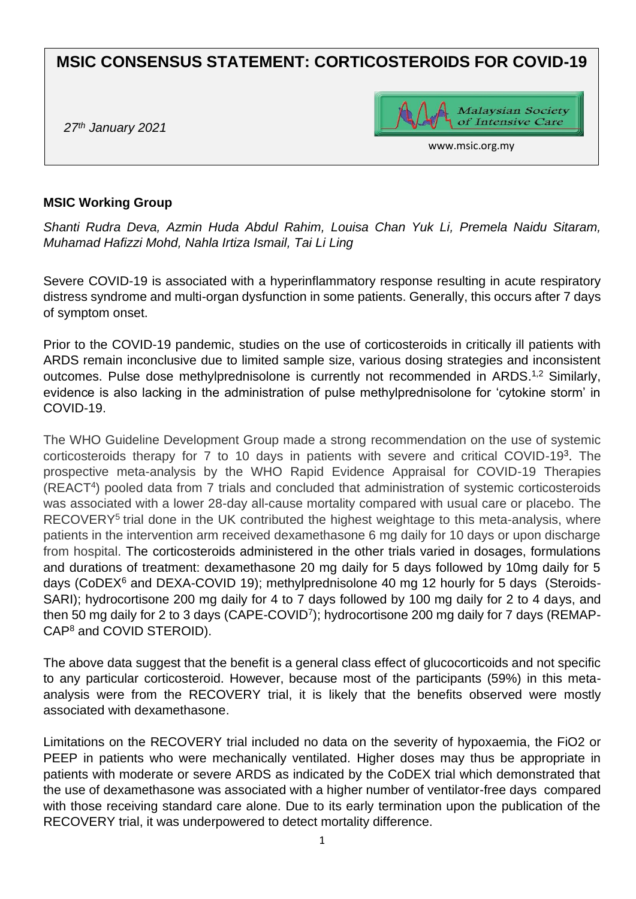# **MSIC CONSENSUS STATEMENT: CORTICOSTEROIDS FOR COVID-19**

*27th January 2021*



www.msic.org.my

#### **MSIC Working Group**

*Shanti Rudra Deva, Azmin Huda Abdul Rahim, Louisa Chan Yuk Li, Premela Naidu Sitaram, Muhamad Hafizzi Mohd, Nahla Irtiza Ismail, Tai Li Ling*

Severe COVID-19 is associated with a hyperinflammatory response resulting in acute respiratory distress syndrome and multi-organ dysfunction in some patients. Generally, this occurs after 7 days of symptom onset.

Prior to the COVID-19 pandemic, studies on the use of corticosteroids in critically ill patients with ARDS remain inconclusive due to limited sample size, various dosing strategies and inconsistent outcomes. Pulse dose methylprednisolone is currently not recommended in ARDS.<sup>1,2</sup> Similarly, evidence is also lacking in the administration of pulse methylprednisolone for 'cytokine storm' in COVID-19.

The WHO Guideline Development Group made a strong recommendation on the use of systemic corticosteroids therapy for 7 to 10 days in patients with severe and critical COVID-19<sup>3</sup>. The prospective meta-analysis by the WHO Rapid Evidence Appraisal for COVID-19 Therapies (REACT<sup>4</sup>) pooled data from 7 trials and concluded that administration of systemic corticosteroids was associated with a lower 28-day all-cause mortality compared with usual care or placebo. The RECOVERY<sup>5</sup> trial done in the UK contributed the highest weightage to this meta-analysis, where patients in the intervention arm received dexamethasone 6 mg daily for 10 days or upon discharge from hospital. The corticosteroids administered in the other trials varied in dosages, formulations and durations of treatment: dexamethasone 20 mg daily for 5 days followed by 10mg daily for 5 days (CoDEX<sup>6</sup> and DEXA-COVID 19); methylprednisolone 40 mg 12 hourly for 5 days (Steroids-SARI); hydrocortisone 200 mg daily for 4 to 7 days followed by 100 mg daily for 2 to 4 days, and then 50 mg daily for 2 to 3 days (CAPE-COVID<sup>7</sup>); hydrocortisone 200 mg daily for 7 days (REMAP-CAP<sup>8</sup> and COVID STEROID).

The above data suggest that the benefit is a general class effect of glucocorticoids and not specific to any particular corticosteroid. However, because most of the participants (59%) in this metaanalysis were from the RECOVERY trial, it is likely that the benefits observed were mostly associated with dexamethasone.

Limitations on the RECOVERY trial included no data on the severity of hypoxaemia, the FiO2 or PEEP in patients who were mechanically ventilated. Higher doses may thus be appropriate in patients with moderate or severe ARDS as indicated by the CoDEX trial which demonstrated that the use of dexamethasone was associated with a higher number of ventilator-free days compared with those receiving standard care alone. Due to its early termination upon the publication of the RECOVERY trial, it was underpowered to detect mortality difference.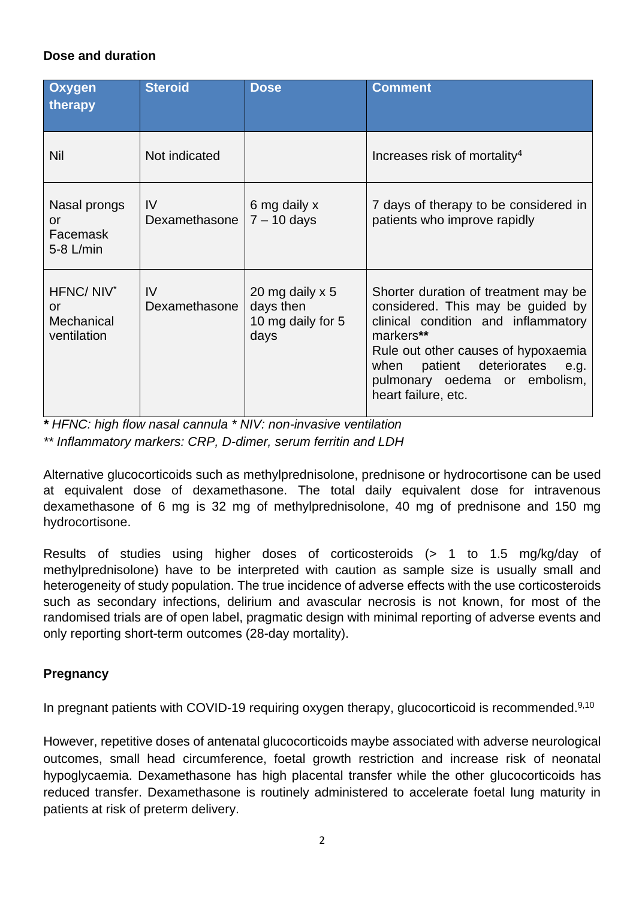## **Dose and duration**

| <b>Oxygen</b><br>therapy                                 | <b>Steroid</b>      | <b>Dose</b>                                               | <b>Comment</b>                                                                                                                                                                                                                                                    |
|----------------------------------------------------------|---------------------|-----------------------------------------------------------|-------------------------------------------------------------------------------------------------------------------------------------------------------------------------------------------------------------------------------------------------------------------|
| Nil                                                      | Not indicated       |                                                           | Increases risk of mortality <sup>4</sup>                                                                                                                                                                                                                          |
| Nasal prongs<br>or<br>Facemask<br>$5-8$ L/min            | IV<br>Dexamethasone | 6 mg daily x<br>$7 - 10$ days                             | 7 days of therapy to be considered in<br>patients who improve rapidly                                                                                                                                                                                             |
| HFNC/NIV <sup>*</sup><br>or<br>Mechanical<br>ventilation | IV<br>Dexamethasone | 20 mg daily x 5<br>days then<br>10 mg daily for 5<br>days | Shorter duration of treatment may be<br>considered. This may be guided by<br>clinical condition and inflammatory<br>markers**<br>Rule out other causes of hypoxaemia<br>when patient deteriorates<br>e.g.<br>pulmonary oedema or embolism,<br>heart failure, etc. |

*\* HFNC: high flow nasal cannula \* NIV: non-invasive ventilation \*\* Inflammatory markers: CRP, D-dimer, serum ferritin and LDH*

Alternative glucocorticoids such as methylprednisolone, prednisone or hydrocortisone can be used at equivalent dose of dexamethasone. The total daily equivalent dose for intravenous dexamethasone of 6 mg is 32 mg of methylprednisolone, 40 mg of prednisone and 150 mg hydrocortisone.

Results of studies using higher doses of corticosteroids (> 1 to 1.5 mg/kg/day of methylprednisolone) have to be interpreted with caution as sample size is usually small and heterogeneity of study population. The true incidence of adverse effects with the use corticosteroids such as secondary infections, delirium and avascular necrosis is not known, for most of the randomised trials are of open label, pragmatic design with minimal reporting of adverse events and only reporting short-term outcomes (28-day mortality).

### **Pregnancy**

In pregnant patients with COVID-19 requiring oxygen therapy, glucocorticoid is recommended.<sup>9,10</sup>

However, repetitive doses of antenatal glucocorticoids maybe associated with adverse neurological outcomes, small head circumference, foetal growth restriction and increase risk of neonatal hypoglycaemia. Dexamethasone has high placental transfer while the other glucocorticoids has reduced transfer. Dexamethasone is routinely administered to accelerate foetal lung maturity in patients at risk of preterm delivery.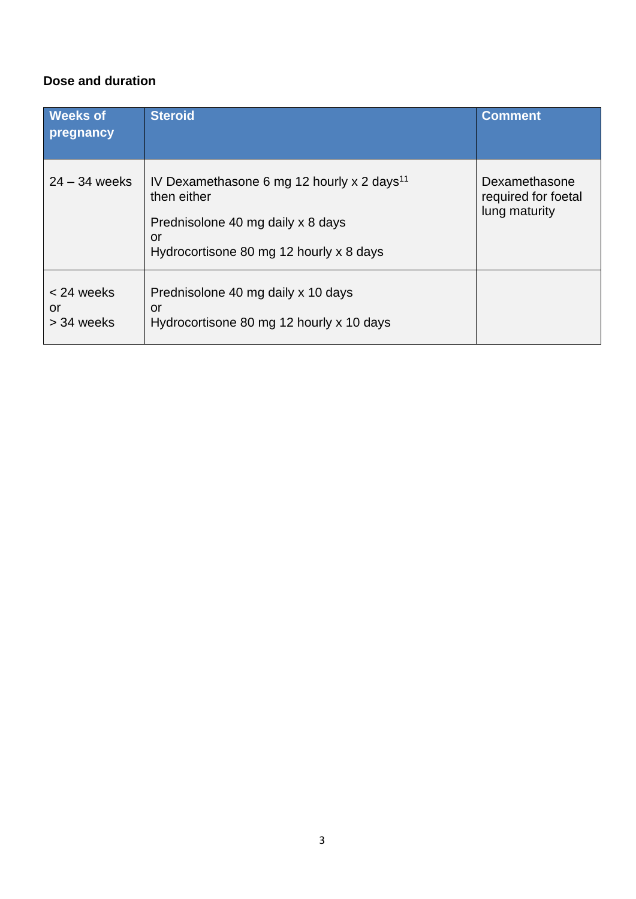## **Dose and duration**

| <b>Weeks of</b><br>pregnancy   | <b>Steroid</b>                                                                                                                                              | <b>Comment</b>                                        |
|--------------------------------|-------------------------------------------------------------------------------------------------------------------------------------------------------------|-------------------------------------------------------|
| $24 - 34$ weeks                | IV Dexamethasone 6 mg 12 hourly x 2 days <sup>11</sup><br>then either<br>Prednisolone 40 mg daily x 8 days<br>or<br>Hydrocortisone 80 mg 12 hourly x 8 days | Dexamethasone<br>required for foetal<br>lung maturity |
| < 24 weeks<br>or<br>> 34 weeks | Prednisolone 40 mg daily x 10 days<br>or<br>Hydrocortisone 80 mg 12 hourly x 10 days                                                                        |                                                       |